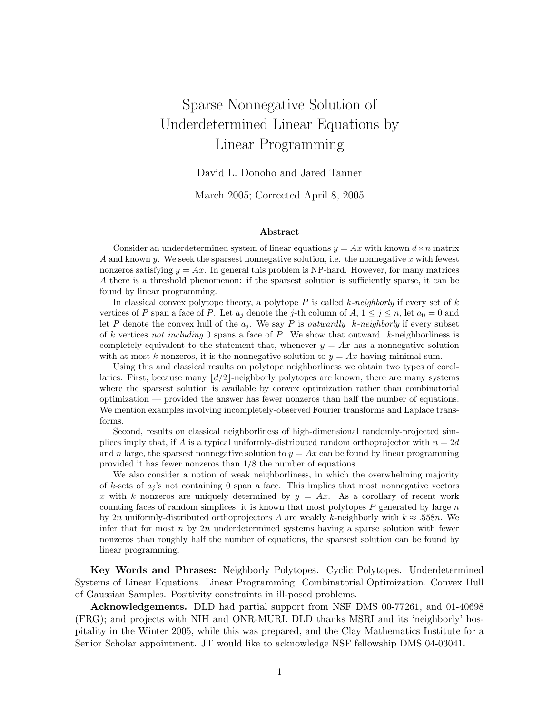# Sparse Nonnegative Solution of Underdetermined Linear Equations by Linear Programming

David L. Donoho and Jared Tanner

March 2005; Corrected April 8, 2005

#### Abstract

Consider an underdetermined system of linear equations  $y = Ax$  with known  $d \times n$  matrix A and known y. We seek the sparsest nonnegative solution, i.e. the nonnegative x with fewest nonzeros satisfying  $y = Ax$ . In general this problem is NP-hard. However, for many matrices A there is a threshold phenomenon: if the sparsest solution is sufficiently sparse, it can be found by linear programming.

In classical convex polytope theory, a polytope  $P$  is called k-neighborly if every set of k vertices of P span a face of P. Let  $a_j$  denote the j-th column of  $A, 1 \leq j \leq n$ , let  $a_0 = 0$  and let P denote the convex hull of the  $a_j$ . We say P is *outwardly k-neighborly* if every subset of k vertices not including 0 spans a face of P. We show that outward k-neighborliness is completely equivalent to the statement that, whenever  $y = Ax$  has a nonnegative solution with at most k nonzeros, it is the nonnegative solution to  $y = Ax$  having minimal sum.

Using this and classical results on polytope neighborliness we obtain two types of corollaries. First, because many  $\lfloor d/2 \rfloor$ -neighborly polytopes are known, there are many systems where the sparsest solution is available by convex optimization rather than combinatorial optimization — provided the answer has fewer nonzeros than half the number of equations. We mention examples involving incompletely-observed Fourier transforms and Laplace transforms.

Second, results on classical neighborliness of high-dimensional randomly-projected simplices imply that, if A is a typical uniformly-distributed random orthoprojector with  $n = 2d$ and n large, the sparsest nonnegative solution to  $y = Ax$  can be found by linear programming provided it has fewer nonzeros than 1/8 the number of equations.

We also consider a notion of weak neighborliness, in which the overwhelming majority of k-sets of  $a_i$ 's not containing 0 span a face. This implies that most nonnegative vectors x with k nonzeros are uniquely determined by  $y = Ax$ . As a corollary of recent work counting faces of random simplices, it is known that most polytopes  $P$  generated by large  $n$ by 2n uniformly-distributed orthoprojectors A are weakly k-neighborly with  $k \approx .558n$ . We infer that for most n by  $2n$  underdetermined systems having a sparse solution with fewer nonzeros than roughly half the number of equations, the sparsest solution can be found by linear programming.

Key Words and Phrases: Neighborly Polytopes. Cyclic Polytopes. Underdetermined Systems of Linear Equations. Linear Programming. Combinatorial Optimization. Convex Hull of Gaussian Samples. Positivity constraints in ill-posed problems.

Acknowledgements. DLD had partial support from NSF DMS 00-77261, and 01-40698 (FRG); and projects with NIH and ONR-MURI. DLD thanks MSRI and its 'neighborly' hospitality in the Winter 2005, while this was prepared, and the Clay Mathematics Institute for a Senior Scholar appointment. JT would like to acknowledge NSF fellowship DMS 04-03041.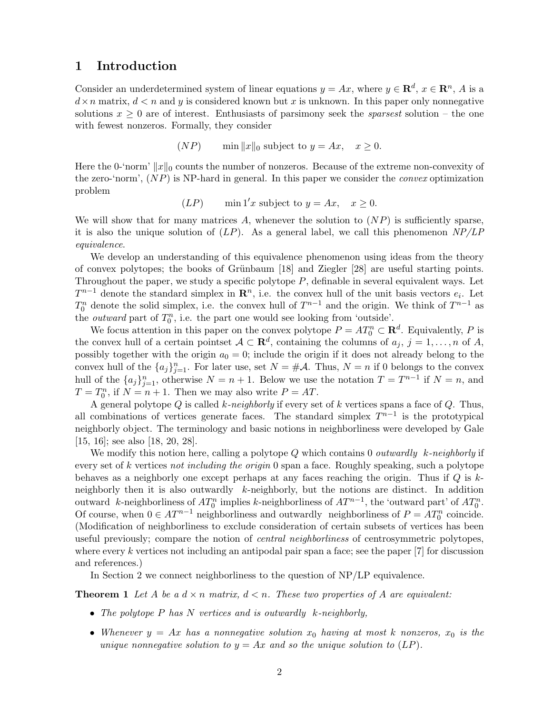## 1 Introduction

Consider an underdetermined system of linear equations  $y = Ax$ , where  $y \in \mathbb{R}^d$ ,  $x \in \mathbb{R}^n$ , A is a  $d \times n$  matrix,  $d < n$  and y is considered known but x is unknown. In this paper only nonnegative solutions  $x \geq 0$  are of interest. Enthusiasts of parsimony seek the *sparsest* solution – the one with fewest nonzeros. Formally, they consider

$$
(NP) \qquad \min \|x\|_0 \text{ subject to } y = Ax, \quad x \ge 0.
$$

Here the 0-'norm'  $||x||_0$  counts the number of nonzeros. Because of the extreme non-convexity of the zero-'norm',  $(NP)$  is NP-hard in general. In this paper we consider the *convex* optimization problem

$$
(LP) \qquad \min \, 1'x \text{ subject to } y = Ax, \quad x \ge 0.
$$

We will show that for many matrices A, whenever the solution to  $(NP)$  is sufficiently sparse, it is also the unique solution of  $(LP)$ . As a general label, we call this phenomenon  $NP/LP$ equivalence.

We develop an understanding of this equivalence phenomenon using ideas from the theory of convex polytopes; the books of Grünbaum  $[18]$  and Ziegler  $[28]$  are useful starting points. Throughout the paper, we study a specific polytope  $P$ , definable in several equivalent ways. Let  $T^{n-1}$  denote the standard simplex in  $\mathbb{R}^n$ , i.e. the convex hull of the unit basis vectors  $e_i$ . Let  $T_0^n$  denote the solid simplex, i.e. the convex hull of  $T^{n-1}$  and the origin. We think of  $T^{n-1}$  as the *outward* part of  $T_0^n$ , i.e. the part one would see looking from 'outside'.

We focus attention in this paper on the convex polytope  $P = AT_0^n \subset \mathbf{R}^d$ . Equivalently, P is the convex hull of a certain pointset  $A \subset \mathbf{R}^d$ , containing the columns of  $a_j$ ,  $j = 1, \ldots, n$  of A, possibly together with the origin  $a_0 = 0$ ; include the origin if it does not already belong to the convex hull of the  ${a_j}_{j=1}^n$ . For later use, set  $N = #\mathcal{A}$ . Thus,  $N = n$  if 0 belongs to the convex hull of the  $\{a_j\}_{j=1}^n$ , otherwise  $N = n + 1$ . Below we use the notation  $T = T^{n-1}$  if  $N = n$ , and  $T = T_0^n$ , if  $N = n + 1$ . Then we may also write  $P = AT$ .

A general polytope  $Q$  is called k-neighborly if every set of k vertices spans a face of  $Q$ . Thus, all combinations of vertices generate faces. The standard simplex  $T^{n-1}$  is the prototypical neighborly object. The terminology and basic notions in neighborliness were developed by Gale [15, 16]; see also [18, 20, 28].

We modify this notion here, calling a polytope  $Q$  which contains 0 *outwardly* k-neighborly if every set of k vertices not including the origin 0 span a face. Roughly speaking, such a polytope behaves as a neighborly one except perhaps at any faces reaching the origin. Thus if  $Q$  is  $k$ neighborly then it is also outwardly k-neighborly, but the notions are distinct. In addition outward k-neighborliness of  $AT_0^n$  implies k-neighborliness of  $AT^{n-1}$ , the 'outward part' of  $AT_0^n$ . Of course, when  $0 \in AT^{n-1}$  neighborliness and outwardly neighborliness of  $P = AT_0^n$  coincide. (Modification of neighborliness to exclude consideration of certain subsets of vertices has been useful previously; compare the notion of *central neighborliness* of centrosymmetric polytopes, where every k vertices not including an antipodal pair span a face; see the paper  $|7|$  for discussion and references.)

In Section 2 we connect neighborliness to the question of NP/LP equivalence.

**Theorem 1** Let A be a  $d \times n$  matrix,  $d \leq n$ . These two properties of A are equivalent:

- The polytope  $P$  has  $N$  vertices and is outwardly  $k$ -neighborly,
- Whenever  $y = Ax$  has a nonnegative solution  $x_0$  having at most k nonzeros,  $x_0$  is the unique nonnegative solution to  $y = Ax$  and so the unique solution to  $(LP)$ .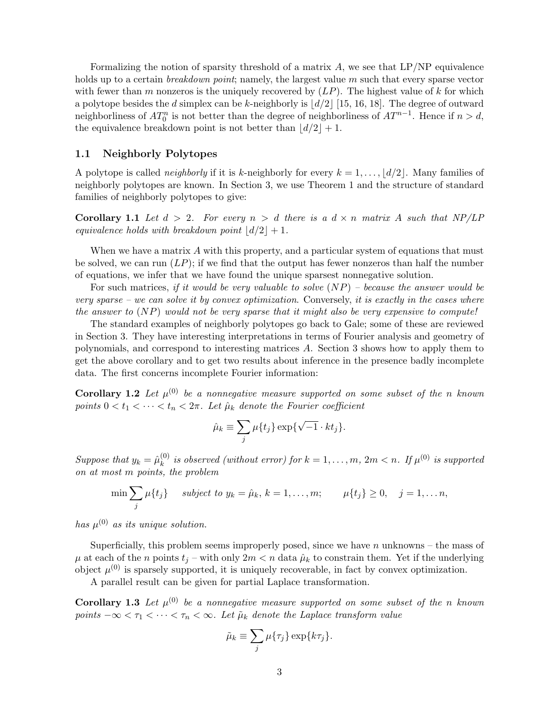Formalizing the notion of sparsity threshold of a matrix  $A$ , we see that  $LP/NP$  equivalence holds up to a certain *breakdown point*; namely, the largest value m such that every sparse vector with fewer than m nonzeros is the uniquely recovered by  $(LP)$ . The highest value of k for which a polytope besides the d simplex can be k-neighborly is  $\lfloor d/2 \rfloor$  [15, 16, 18]. The degree of outward neighborliness of  $AT_0^n$  is not better than the degree of neighborliness of  $AT^{n-1}$ . Hence if  $n > d$ , the equivalence breakdown point is not better than  $\lfloor d/2 \rfloor + 1$ .

#### 1.1 Neighborly Polytopes

A polytope is called *neighborly* if it is k-neighborly for every  $k = 1, \ldots, \lfloor d/2 \rfloor$ . Many families of neighborly polytopes are known. In Section 3, we use Theorem 1 and the structure of standard families of neighborly polytopes to give:

**Corollary 1.1** Let  $d > 2$ . For every  $n > d$  there is a  $d \times n$  matrix A such that NP/LP equivalence holds with breakdown point  $\lfloor d/2 \rfloor + 1$ .

When we have a matrix  $A$  with this property, and a particular system of equations that must be solved, we can run  $(LP)$ ; if we find that the output has fewer nonzeros than half the number of equations, we infer that we have found the unique sparsest nonnegative solution.

For such matrices, if it would be very valuable to solve  $(NP)$  – because the answer would be very sparse – we can solve it by convex optimization. Conversely, it is exactly in the cases where the answer to  $(NP)$  would not be very sparse that it might also be very expensive to compute!

The standard examples of neighborly polytopes go back to Gale; some of these are reviewed in Section 3. They have interesting interpretations in terms of Fourier analysis and geometry of polynomials, and correspond to interesting matrices A. Section 3 shows how to apply them to get the above corollary and to get two results about inference in the presence badly incomplete data. The first concerns incomplete Fourier information:

**Corollary 1.2** Let  $\mu^{(0)}$  be a nonnegative measure supported on some subset of the n known points  $0 < t_1 < \cdots < t_n < 2\pi$ . Let  $\hat{\mu}_k$  denote the Fourier coefficient

$$
\hat{\mu}_k \equiv \sum_j \mu\{t_j\} \exp\{\sqrt{-1} \cdot kt_j\}.
$$

Suppose that  $y_k = \hat{\mu}_k^{(0)}$  $\binom{0}{k}$  is observed (without error) for  $k = 1, \ldots, m$ ,  $2m < n$ . If  $\mu^{(0)}$  is supported on at most m points, the problem

$$
\min \sum_j \mu\{t_j\} \quad \text{subject to } y_k = \hat{\mu}_k, \, k = 1, \dots, m; \qquad \mu\{t_j\} \ge 0, \quad j = 1, \dots n,
$$

has  $\mu^{(0)}$  as its unique solution.

Superficially, this problem seems improperly posed, since we have  $n$  unknowns – the mass of  $\mu$  at each of the n points  $t_i$  – with only  $2m < n$  data  $\hat{\mu}_k$  to constrain them. Yet if the underlying object  $\mu^{(0)}$  is sparsely supported, it is uniquely recoverable, in fact by convex optimization.

A parallel result can be given for partial Laplace transformation.

**Corollary 1.3** Let  $\mu^{(0)}$  be a nonnegative measure supported on some subset of the n known points  $-\infty < \tau_1 < \cdots < \tau_n < \infty$ . Let  $\tilde{\mu}_k$  denote the Laplace transform value

$$
\tilde{\mu}_k \equiv \sum_j \mu\{\tau_j\} \exp\{k\tau_j\}.
$$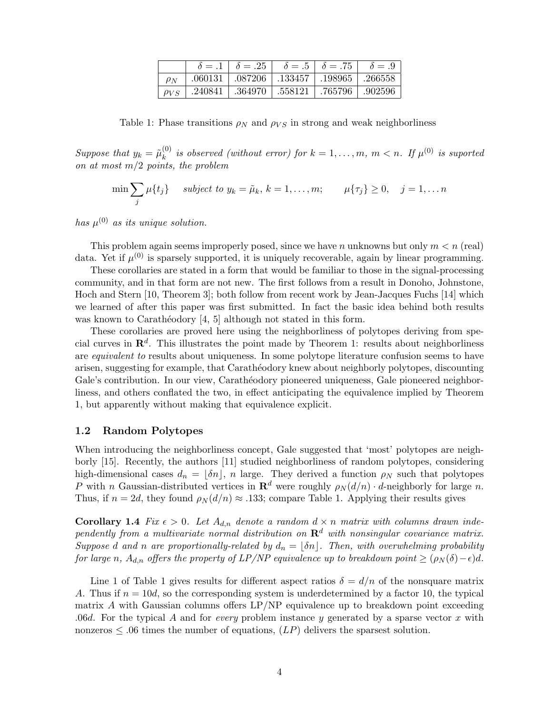|             |                   | $\delta = .1$ $\delta = .25$ $\delta = .5$ $\delta = .75$ $\delta = .9$ |                         |  |
|-------------|-------------------|-------------------------------------------------------------------------|-------------------------|--|
| $\rho_N$    |                   | $0.060131$   $0.087206$   $0.133457$   $0.198965$   $0.266558$          |                         |  |
| $\rho_{VS}$ | .364970   .558121 |                                                                         | $\pm 765796 \pm 902596$ |  |

Table 1: Phase transitions  $\rho_N$  and  $\rho_{VS}$  in strong and weak neighborliness

Suppose that  $y_k = \tilde{\mu}_k^{(0)}$  $\binom{0}{k}$  is observed (without error) for  $k = 1, \ldots, m, m < n$ . If  $\mu^{(0)}$  is suported on at most  $m/2$  points, the problem

$$
\min \sum_{j} \mu\{t_j\} \quad \text{subject to } y_k = \tilde{\mu}_k, \, k = 1, \dots, m; \qquad \mu\{\tau_j\} \ge 0, \quad j = 1, \dots n
$$

has  $\mu^{(0)}$  as its unique solution.

This problem again seems improperly posed, since we have n unknowns but only  $m < n$  (real) data. Yet if  $\mu^{(0)}$  is sparsely supported, it is uniquely recoverable, again by linear programming.

These corollaries are stated in a form that would be familiar to those in the signal-processing community, and in that form are not new. The first follows from a result in Donoho, Johnstone, Hoch and Stern [10, Theorem 3]; both follow from recent work by Jean-Jacques Fuchs [14] which we learned of after this paper was first submitted. In fact the basic idea behind both results was known to Carathéodory  $[4, 5]$  although not stated in this form.

These corollaries are proved here using the neighborliness of polytopes deriving from special curves in  $\mathbb{R}^d$ . This illustrates the point made by Theorem 1: results about neighborliness are *equivalent to* results about uniqueness. In some polytope literature confusion seems to have arisen, suggesting for example, that Carathéodory knew about neighborly polytopes, discounting Gale's contribution. In our view, Carathéodory pioneered uniqueness, Gale pioneered neighborliness, and others conflated the two, in effect anticipating the equivalence implied by Theorem 1, but apparently without making that equivalence explicit.

#### 1.2 Random Polytopes

When introducing the neighborliness concept, Gale suggested that 'most' polytopes are neighborly [15]. Recently, the authors [11] studied neighborliness of random polytopes, considering high-dimensional cases  $d_n = [\delta n]$ , n large. They derived a function  $\rho_N$  such that polytopes P with n Gaussian-distributed vertices in  $\mathbf{R}^d$  were roughly  $\rho_N(d/n) \cdot d$ -neighborly for large n. Thus, if  $n = 2d$ , they found  $\rho_N(d/n) \approx .133$ ; compare Table 1. Applying their results gives

**Corollary 1.4** Fix  $\epsilon > 0$ . Let  $A_{d,n}$  denote a random  $d \times n$  matrix with columns drawn independently from a multivariate normal distribution on  $\mathbf{R}^d$  with nonsingular covariance matrix. Suppose d and n are proportionally-related by  $d_n = \lfloor \delta n \rfloor$ . Then, with overwhelming probability for large n,  $A_{d,n}$  offers the property of LP/NP equivalence up to breakdown point  $\geq (\rho_N(\delta)-\epsilon)d$ .

Line 1 of Table 1 gives results for different aspect ratios  $\delta = d/n$  of the nonsquare matrix A. Thus if  $n = 10d$ , so the corresponding system is underdetermined by a factor 10, the typical matrix  $\vec{A}$  with Gaussian columns offers  $\text{LP}/\text{NP}$  equivalence up to breakdown point exceeding .06d. For the typical A and for *every* problem instance y generated by a sparse vector x with nonzeros  $\leq 0.06$  times the number of equations,  $(LP)$  delivers the sparsest solution.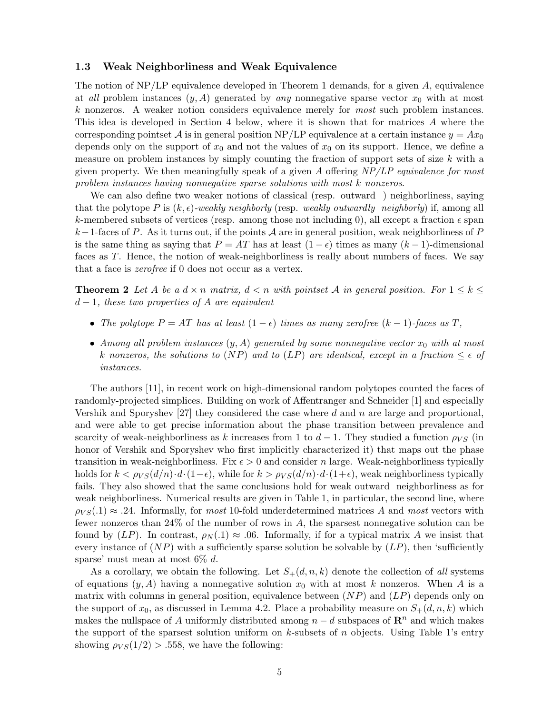#### 1.3 Weak Neighborliness and Weak Equivalence

The notion of  $NP/LP$  equivalence developed in Theorem 1 demands, for a given A, equivalence at all problem instances  $(y, A)$  generated by any nonnegative sparse vector  $x_0$  with at most k nonzeros. A weaker notion considers equivalence merely for most such problem instances. This idea is developed in Section 4 below, where it is shown that for matrices A where the corresponding pointset A is in general position NP/LP equivalence at a certain instance  $y = Ax_0$ depends only on the support of  $x_0$  and not the values of  $x_0$  on its support. Hence, we define a measure on problem instances by simply counting the fraction of support sets of size  $k$  with a given property. We then meaningfully speak of a given A offering  $NP/LP$  equivalence for most problem instances having nonnegative sparse solutions with most k nonzeros.

We can also define two weaker notions of classical (resp. outward ) neighborliness, saying that the polytope P is  $(k, \epsilon)$ -weakly neighborly (resp. weakly outwardly neighborly) if, among all k-membered subsets of vertices (resp. among those not including 0), all except a fraction  $\epsilon$  span k−1-faces of P. As it turns out, if the points A are in general position, weak neighborliness of P is the same thing as saying that  $P = AT$  has at least  $(1 - \epsilon)$  times as many  $(k - 1)$ -dimensional faces as T. Hence, the notion of weak-neighborliness is really about numbers of faces. We say that a face is zerofree if 0 does not occur as a vertex.

**Theorem 2** Let A be a  $d \times n$  matrix,  $d \leq n$  with pointset A in general position. For  $1 \leq k \leq n$  $d-1$ , these two properties of A are equivalent

- The polytope  $P = AT$  has at least  $(1 \epsilon)$  times as many zerofree  $(k 1)$ -faces as T,
- Among all problem instances  $(y, A)$  generated by some nonnegative vector  $x_0$  with at most k nonzeros, the solutions to (NP) and to (LP) are identical, except in a fraction  $\leq \epsilon$  of instances.

The authors [11], in recent work on high-dimensional random polytopes counted the faces of randomly-projected simplices. Building on work of Affentranger and Schneider [1] and especially Vershik and Sporyshev [27] they considered the case where d and n are large and proportional, and were able to get precise information about the phase transition between prevalence and scarcity of weak-neighborliness as k increases from 1 to  $d-1$ . They studied a function  $\rho_{VS}$  (in honor of Vershik and Sporyshev who first implicitly characterized it) that maps out the phase transition in weak-neighborliness. Fix  $\epsilon > 0$  and consider n large. Weak-neighborliness typically holds for  $k < \rho_{VS}(d/n) \cdot d \cdot (1-\epsilon)$ , while for  $k > \rho_{VS}(d/n) \cdot d \cdot (1+\epsilon)$ , weak neighborliness typically fails. They also showed that the same conclusions hold for weak outward neighborliness as for weak neighborliness. Numerical results are given in Table 1, in particular, the second line, where  $\rho_{VS}(0.1) \approx 0.24$ . Informally, for most 10-fold underdetermined matrices A and most vectors with fewer nonzeros than 24% of the number of rows in A, the sparsest nonnegative solution can be found by  $(LP)$ . In contrast,  $\rho_N(1) \approx 0.06$ . Informally, if for a typical matrix A we insist that every instance of  $(NP)$  with a sufficiently sparse solution be solvable by  $(LP)$ , then 'sufficiently sparse' must mean at most  $6\%$  d.

As a corollary, we obtain the following. Let  $S_+(d, n, k)$  denote the collection of all systems of equations  $(y, A)$  having a nonnegative solution  $x_0$  with at most k nonzeros. When A is a matrix with columns in general position, equivalence between  $(NP)$  and  $(LP)$  depends only on the support of  $x_0$ , as discussed in Lemma 4.2. Place a probability measure on  $S_+(d, n, k)$  which makes the nullspace of A uniformly distributed among  $n - d$  subspaces of  $\mathbb{R}^n$  and which makes the support of the sparsest solution uniform on k-subsets of n objects. Using Table 1's entry showing  $\rho_{VS}(1/2) > .558$ , we have the following: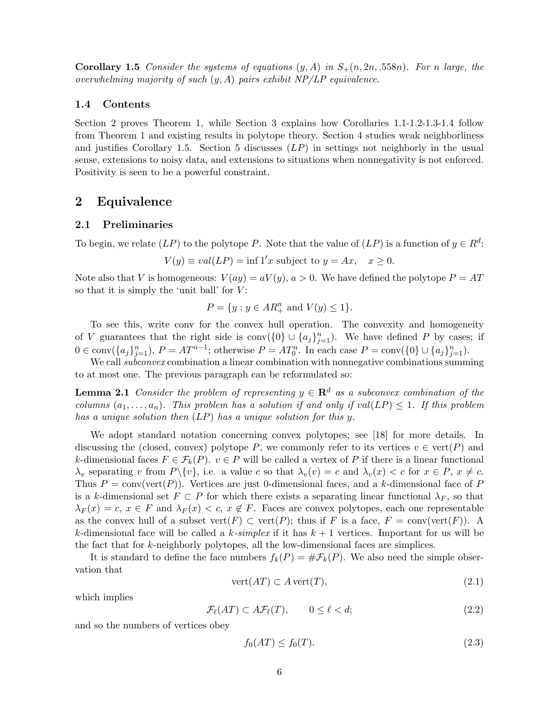**Corollary 1.5** Consider the systems of equations  $(y, A)$  in  $S_+(n, 2n, .558n)$ . For n large, the overwhelming majority of such  $(y, A)$  pairs exhibit  $NP/LP$  equivalence.

#### 1.4 Contents

Section 2 proves Theorem 1, while Section 3 explains how Corollaries 1.1-1.2-1.3-1.4 follow from Theorem 1 and existing results in polytope theory. Section 4 studies weak neighborliness and justifies Corollary 1.5. Section 5 discusses  $(LP)$  in settings not neighborly in the usual sense, extensions to noisy data, and extensions to situations when nonnegativity is not enforced. Positivity is seen to be a powerful constraint.

## 2 Equivalence

#### 2.1 Preliminaries

To begin, we relate  $(LP)$  to the polytope P. Note that the value of  $(LP)$  is a function of  $y \in R^d$ :

$$
V(y) \equiv val(LP) = \inf 1'x \text{ subject to } y = Ax, \quad x \ge 0.
$$

Note also that V is homogeneous:  $V(ay) = aV(y), a > 0$ . We have defined the polytope  $P = AT$ so that it is simply the 'unit ball' for  $V$ :

$$
P = \{ y : y \in AR_+^n \text{ and } V(y) \le 1 \}.
$$

To see this, write conv for the convex hull operation. The convexity and homogeneity of V guarantees that the right side is  $\text{conv}(\{0\} \cup \{a_j\}_{j=1}^n)$ . We have defined P by cases; if  $0 \in \text{conv}(\{a_j\}_{j=1}^n), P = AT^{n-1}$ ; otherwise  $P = AT_0^n$ . In each case  $P = \text{conv}(\{0\} \cup \{a_j\}_{j=1}^n)$ .

We call *subconvex* combination a linear combination with nonnegative combinations summing to at most one. The previous paragraph can be reformulated so:

**Lemma 2.1** Consider the problem of representing  $y \in \mathbb{R}^d$  as a subconvex combination of the columns  $(a_1, \ldots, a_n)$ . This problem has a solution if and only if  $val(LP) \leq 1$ . If this problem has a unique solution then (LP) has a unique solution for this y.

We adopt standard notation concerning convex polytopes; see [18] for more details. In discussing the (closed, convex) polytope P, we commonly refer to its vertices  $v \in \text{vert}(P)$  and k-dimensional faces  $F \in \mathcal{F}_k(P)$ .  $v \in P$  will be called a vertex of P if there is a linear functional  $\lambda_v$  separating v from  $P\setminus\{v\}$ , i.e. a value c so that  $\lambda_v(v) = c$  and  $\lambda_v(x) < c$  for  $x \in P$ ,  $x \neq c$ . Thus  $P = \text{conv}(\text{vert}(P))$ . Vertices are just 0-dimensional faces, and a k-dimensional face of P is a k-dimensional set  $F \subset P$  for which there exists a separating linear functional  $\lambda_F$ , so that  $\lambda_F(x) = c, x \in F$  and  $\lambda_F(x) < c, x \notin F$ . Faces are convex polytopes, each one representable as the convex hull of a subset vert $(F) \subset \text{vert}(P)$ ; thus if F is a face,  $F = \text{conv}(\text{vert}(F))$ . A k-dimensional face will be called a k-simplex if it has  $k+1$  vertices. Important for us will be the fact that for  $k$ -neighborly polytopes, all the low-dimensional faces are simplices.

It is standard to define the face numbers  $f_k(P) = \# \mathcal{F}_k(P)$ . We also need the simple observation that

$$
\text{vert}(AT) \subset A \,\text{vert}(T),\tag{2.1}
$$

which implies

$$
\mathcal{F}_{\ell}(AT) \subset A\mathcal{F}_{\ell}(T), \qquad 0 \le \ell < d; \tag{2.2}
$$

and so the numbers of vertices obey

$$
f_0(AT) \le f_0(T). \tag{2.3}
$$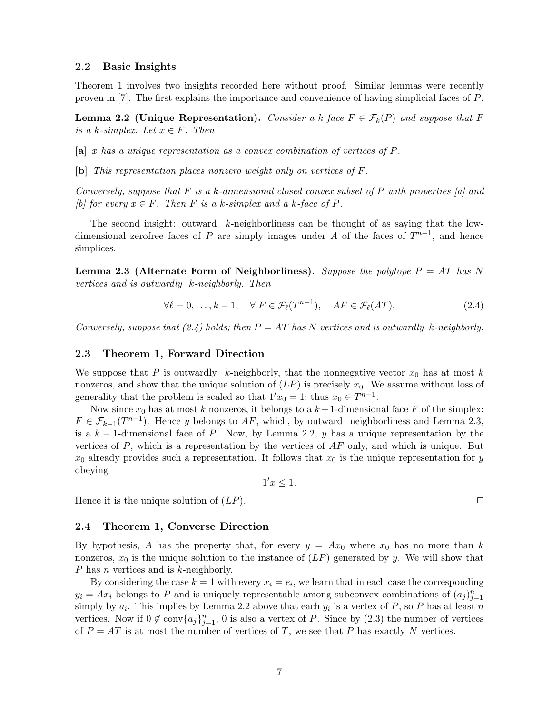#### 2.2 Basic Insights

Theorem 1 involves two insights recorded here without proof. Similar lemmas were recently proven in [7]. The first explains the importance and convenience of having simplicial faces of P.

**Lemma 2.2 (Unique Representation).** Consider a k-face  $F \in \mathcal{F}_k(P)$  and suppose that F is a k-simplex. Let  $x \in F$ . Then

[a] x has a unique representation as a convex combination of vertices of P.

[b] This representation places nonzero weight only on vertices of F.

Conversely, suppose that F is a k-dimensional closed convex subset of P with properties  $[a]$  and [b] for every  $x \in F$ . Then F is a k-simplex and a k-face of P.

The second insight: outward  $k$ -neighborliness can be thought of as saying that the lowdimensional zerofree faces of P are simply images under A of the faces of  $T^{n-1}$ , and hence simplices.

Lemma 2.3 (Alternate Form of Neighborliness). Suppose the polytope  $P = AT$  has N vertices and is outwardly k-neighborly. Then

$$
\forall \ell = 0, \dots, k - 1, \quad \forall \ F \in \mathcal{F}_{\ell}(T^{n-1}), \quad AF \in \mathcal{F}_{\ell}(AT). \tag{2.4}
$$

Conversely, suppose that  $(2.4)$  holds; then  $P = AT$  has N vertices and is outwardly k-neighborly.

#### 2.3 Theorem 1, Forward Direction

We suppose that P is outwardly k-neighborly, that the nonnegative vector  $x_0$  has at most k nonzeros, and show that the unique solution of  $(LP)$  is precisely  $x_0$ . We assume without loss of generality that the problem is scaled so that  $1'x_0 = 1$ ; thus  $x_0 \in T^{n-1}$ .

Now since  $x_0$  has at most k nonzeros, it belongs to a  $k-1$ -dimensional face F of the simplex:  $F \in \mathcal{F}_{k-1}(T^{n-1})$ . Hence y belongs to AF, which, by outward neighborliness and Lemma 2.3, is a  $k-1$ -dimensional face of P. Now, by Lemma 2.2, y has a unique representation by the vertices of  $P$ , which is a representation by the vertices of  $AF$  only, and which is unique. But  $x_0$  already provides such a representation. It follows that  $x_0$  is the unique representation for y obeying

 $1'x \leq 1$ .

Hence it is the unique solution of  $(LP)$ .

#### 2.4 Theorem 1, Converse Direction

By hypothesis, A has the property that, for every  $y = Ax_0$  where  $x_0$  has no more than k nonzeros,  $x_0$  is the unique solution to the instance of  $(LP)$  generated by y. We will show that P has n vertices and is k-neighborly.

By considering the case  $k = 1$  with every  $x_i = e_i$ , we learn that in each case the corresponding  $y_i = Ax_i$  belongs to P and is uniquely representable among subconvex combinations of  $(a_j)_{j=1}^n$ simply by  $a_i$ . This implies by Lemma 2.2 above that each  $y_i$  is a vertex of P, so P has at least n vertices. Now if  $0 \notin \text{conv}\{a_j\}_{j=1}^n$ , 0 is also a vertex of P. Since by  $(2.3)$  the number of vertices of  $P = AT$  is at most the number of vertices of T, we see that P has exactly N vertices.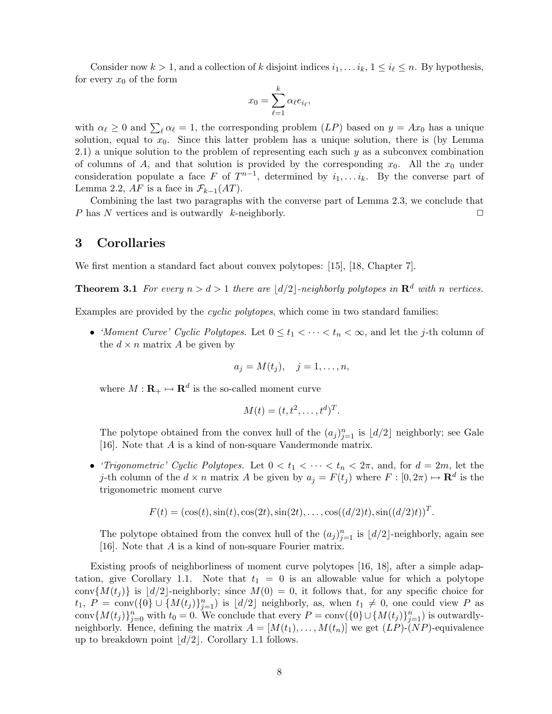Consider now  $k > 1$ , and a collection of k disjoint indices  $i_1, \ldots i_k$ ,  $1 \leq i_\ell \leq n$ . By hypothesis, for every  $x_0$  of the form

$$
x_0 = \sum_{\ell=1}^k \alpha_\ell e_{i_\ell},
$$

with  $\alpha_\ell \geq 0$  and  $\sum_{\ell} \alpha_\ell = 1$ , the corresponding problem  $(LP)$  based on  $y = Ax_0$  has a unique solution, equal to  $x_0$ . Since this latter problem has a unique solution, there is (by Lemma 2.1) a unique solution to the problem of representing each such  $y$  as a subconvex combination of columns of A, and that solution is provided by the corresponding  $x_0$ . All the  $x_0$  under consideration populate a face F of  $T^{n-1}$ , determined by  $i_1, \ldots, i_k$ . By the converse part of Lemma 2.2, AF is a face in  $\mathcal{F}_{k-1}(AT)$ .

Combining the last two paragraphs with the converse part of Lemma 2.3, we conclude that P has N vertices and is outwardly k-neighborly.  $\square$ 

## 3 Corollaries

We first mention a standard fact about convex polytopes: [15], [18, Chapter 7].

**Theorem 3.1** For every  $n > d > 1$  there are  $\lfloor d/2 \rfloor$ -neighborly polytopes in  $\mathbb{R}^d$  with n vertices.

Examples are provided by the cyclic polytopes, which come in two standard families:

• 'Moment Curve' Cyclic Polytopes. Let  $0 \le t_1 < \cdots < t_n < \infty$ , and let the j-th column of the  $d \times n$  matrix A be given by

$$
a_j = M(t_j), \quad j = 1, \ldots, n,
$$

where  $M: \mathbf{R}_{+} \mapsto \mathbf{R}^{d}$  is the so-called moment curve

$$
M(t) = (t, t^2, \dots, t^d)^T.
$$

The polytope obtained from the convex hull of the  $(a_j)_{j=1}^n$  is  $\lfloor d/2 \rfloor$  neighborly; see Gale [16]. Note that  $A$  is a kind of non-square Vandermonde matrix.

• 'Trigonometric' Cyclic Polytopes. Let  $0 < t_1 < \cdots < t_n < 2\pi$ , and, for  $d = 2m$ , let the j-th column of the  $d \times n$  matrix A be given by  $a_j = F(t_j)$  where  $F : [0, 2\pi) \mapsto \mathbf{R}^d$  is the trigonometric moment curve

$$
F(t) = (\cos(t), \sin(t), \cos(2t), \sin(2t), \dots, \cos((d/2)t), \sin((d/2)t))^T.
$$

The polytope obtained from the convex hull of the  $(a_j)_{j=1}^n$  is  $\lfloor d/2 \rfloor$ -neighborly, again see [16]. Note that A is a kind of non-square Fourier matrix.

Existing proofs of neighborliness of moment curve polytopes [16, 18], after a simple adaptation, give Corollary 1.1. Note that  $t_1 = 0$  is an allowable value for which a polytope conv $\{M(t_i)\}\$ is  $\vert d/2\vert$ -neighborly; since  $M(0) = 0$ , it follows that, for any specific choice for  $t_1, P = \text{conv}(\{0\} \cup \{M(t_j)\}_{j=1}^n)$  is  $\lfloor d/2 \rfloor$  neighborly, as, when  $t_1 \neq 0$ , one could view P as conv $\{M(t_j)\}_{j=0}^n$  with  $t_0 = 0$ . We conclude that every  $P = \text{conv}(\{0\} \cup \{M(t_j)\}_{j=1}^n)$  is outwardlyneighborly. Hence, defining the matrix  $A = [M(t_1), \ldots, M(t_n)]$  we get  $(LP)$ -(NP)-equivalence up to breakdown point  $\lfloor d/2 \rfloor$ . Corollary 1.1 follows.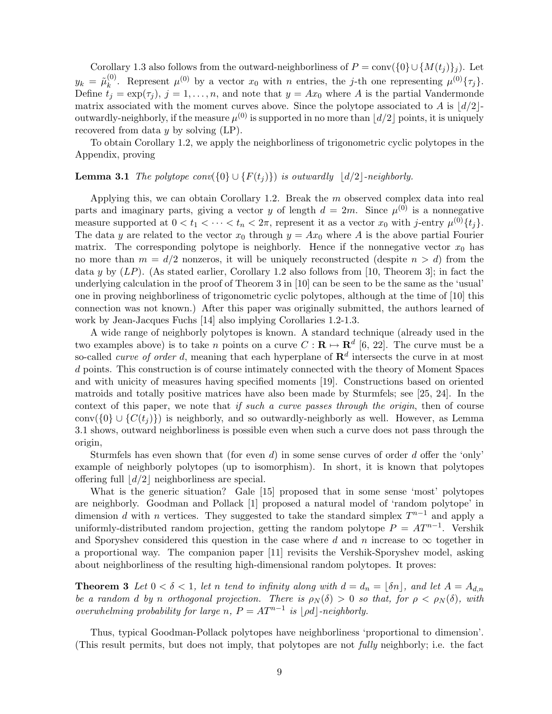Corollary 1.3 also follows from the outward-neighborliness of  $P = \text{conv}(\{0\} \cup \{M(t_i)\}_i)$ . Let  $y_k$  =  $\tilde{\mu}^{(0)}_k$ <sup>(0)</sup>. Represent  $\mu^{(0)}$  by a vector  $x_0$  with n entries, the j-th one representing  $\mu^{(0)}\{\tau_j\}$ . Define  $t_j = \exp(\tau_j)$ ,  $j = 1, \ldots, n$ , and note that  $y = Ax_0$  where A is the partial Vandermonde matrix associated with the moment curves above. Since the polytope associated to A is  $\lfloor d/2 \rfloor$ outwardly-neighborly, if the measure  $\mu^{(0)}$  is supported in no more than  $\lfloor d/2 \rfloor$  points, it is uniquely recovered from data  $y$  by solving  $(LP)$ .

To obtain Corollary 1.2, we apply the neighborliness of trigonometric cyclic polytopes in the Appendix, proving

#### **Lemma 3.1** The polytope conv( $\{0\} \cup \{F(t_j)\}\$ ) is outwardly  $\lfloor d/2 \rfloor$ -neighborly.

Applying this, we can obtain Corollary 1.2. Break the  $m$  observed complex data into real parts and imaginary parts, giving a vector y of length  $d = 2m$ . Since  $\mu^{(0)}$  is a nonnegative measure supported at  $0 < t_1 < \cdots < t_n < 2\pi$ , represent it as a vector  $x_0$  with j-entry  $\mu^{(0)}\{t_j\}$ . The data y are related to the vector  $x_0$  through  $y = Ax_0$  where A is the above partial Fourier matrix. The corresponding polytope is neighborly. Hence if the nonnegative vector  $x_0$  has no more than  $m = d/2$  nonzeros, it will be uniquely reconstructed (despite  $n > d$ ) from the data y by  $(LP)$ . (As stated earlier, Corollary 1.2 also follows from [10, Theorem 3]; in fact the underlying calculation in the proof of Theorem 3 in [10] can be seen to be the same as the 'usual' one in proving neighborliness of trigonometric cyclic polytopes, although at the time of [10] this connection was not known.) After this paper was originally submitted, the authors learned of work by Jean-Jacques Fuchs [14] also implying Corollaries 1.2-1.3.

A wide range of neighborly polytopes is known. A standard technique (already used in the two examples above) is to take *n* points on a curve  $C: \mathbf{R} \mapsto \mathbf{R}^{d}$  [6, 22]. The curve must be a so-called *curve of order d*, meaning that each hyperplane of  $\mathbb{R}^d$  intersects the curve in at most d points. This construction is of course intimately connected with the theory of Moment Spaces and with unicity of measures having specified moments [19]. Constructions based on oriented matroids and totally positive matrices have also been made by Sturmfels; see [25, 24]. In the context of this paper, we note that if such a curve passes through the origin, then of course conv( $\{0\} \cup \{C(t_i)\}\$ ) is neighborly, and so outwardly-neighborly as well. However, as Lemma 3.1 shows, outward neighborliness is possible even when such a curve does not pass through the origin,

Sturmfels has even shown that (for even d) in some sense curves of order d offer the 'only' example of neighborly polytopes (up to isomorphism). In short, it is known that polytopes offering full  $\lfloor d/2 \rfloor$  neighborliness are special.

What is the generic situation? Gale [15] proposed that in some sense 'most' polytopes are neighborly. Goodman and Pollack [1] proposed a natural model of 'random polytope' in dimension d with n vertices. They suggested to take the standard simplex  $T^{n-1}$  and apply a uniformly-distributed random projection, getting the random polytope  $P = AT^{n-1}$ . Vershik and Sporyshev considered this question in the case where d and n increase to  $\infty$  together in a proportional way. The companion paper [11] revisits the Vershik-Sporyshev model, asking about neighborliness of the resulting high-dimensional random polytopes. It proves:

**Theorem 3** Let  $0 < \delta < 1$ , let n tend to infinity along with  $d = d_n = |\delta n|$ , and let  $A = A_{d,n}$ be a random d by n orthogonal projection. There is  $\rho_N(\delta) > 0$  so that, for  $\rho < \rho_N(\delta)$ , with overwhelming probability for large n,  $P = AT^{n-1}$  is  $|\rho d|$ -neighborly.

Thus, typical Goodman-Pollack polytopes have neighborliness 'proportional to dimension'. (This result permits, but does not imply, that polytopes are not fully neighborly; i.e. the fact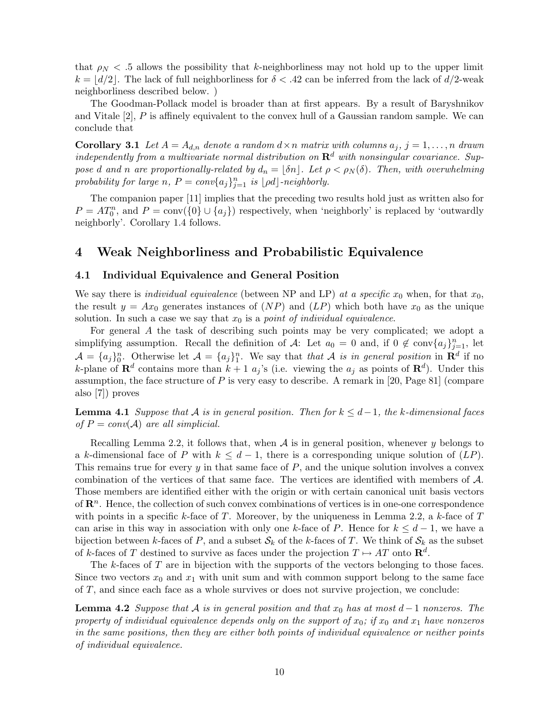that  $\rho_N < 0.5$  allows the possibility that k-neighborliness may not hold up to the upper limit  $k = |d/2|$ . The lack of full neighborliness for  $\delta < .42$  can be inferred from the lack of  $d/2$ -weak neighborliness described below. )

The Goodman-Pollack model is broader than at first appears. By a result of Baryshnikov and Vitale  $[2]$ ,  $P$  is affinely equivalent to the convex hull of a Gaussian random sample. We can conclude that

**Corollary 3.1** Let  $A = A_{d,n}$  denote a random  $d \times n$  matrix with columns  $a_j$ ,  $j = 1, \ldots, n$  drawn independently from a multivariate normal distribution on  $\mathbf{R}^d$  with nonsingular covariance. Suppose d and n are proportionally-related by  $d_n = |\delta n|$ . Let  $\rho < \rho_N(\delta)$ . Then, with overwhelming probability for large n,  $P = conv\{a_j\}_{j=1}^n$  is  $\lfloor \rho d \rfloor$ -neighborly.

The companion paper [11] implies that the preceding two results hold just as written also for  $P = AT_0^n$ , and  $P = \text{conv}(\{0\} \cup \{a_j\})$  respectively, when 'neighborly' is replaced by 'outwardly neighborly'. Corollary 1.4 follows.

## 4 Weak Neighborliness and Probabilistic Equivalence

#### 4.1 Individual Equivalence and General Position

We say there is *individual equivalence* (between NP and LP) at a specific  $x_0$  when, for that  $x_0$ , the result  $y = Ax_0$  generates instances of  $(NP)$  and  $(LP)$  which both have  $x_0$  as the unique solution. In such a case we say that  $x_0$  is a *point of individual equivalence*.

For general A the task of describing such points may be very complicated; we adopt a simplifying assumption. Recall the definition of A: Let  $a_0 = 0$  and, if  $0 \notin \text{conv}\{a_j\}_{j=1}^n$ , let  $\mathcal{A} = \{a_j\}_0^n$ . Otherwise let  $\mathcal{A} = \{a_j\}_1^n$ . We say that that A is in general position in  $\mathbf{R}^d$  if no k-plane of  $\mathbf{R}^d$  contains more than  $k+1$   $a_j$ 's (i.e. viewing the  $a_j$  as points of  $\mathbf{R}^d$ ). Under this assumption, the face structure of  $P$  is very easy to describe. A remark in [20, Page 81] (compare also [7]) proves

**Lemma 4.1** Suppose that A is in general position. Then for  $k \leq d-1$ , the k-dimensional faces of  $P = conv(A)$  are all simplicial.

Recalling Lemma 2.2, it follows that, when  $A$  is in general position, whenever y belongs to a k-dimensional face of P with  $k \leq d-1$ , there is a corresponding unique solution of  $(LP)$ . This remains true for every  $y$  in that same face of  $P$ , and the unique solution involves a convex combination of the vertices of that same face. The vertices are identified with members of A. Those members are identified either with the origin or with certain canonical unit basis vectors of  $\mathbb{R}^n$ . Hence, the collection of such convex combinations of vertices is in one-one correspondence with points in a specific k-face of T. Moreover, by the uniqueness in Lemma 2.2, a k-face of  $T$ can arise in this way in association with only one k-face of P. Hence for  $k \leq d-1$ , we have a bijection between k-faces of P, and a subset  $\mathcal{S}_k$  of the k-faces of T. We think of  $\mathcal{S}_k$  as the subset of k-faces of T destined to survive as faces under the projection  $T \mapsto AT$  onto  $\mathbb{R}^d$ .

The  $k$ -faces of  $T$  are in bijection with the supports of the vectors belonging to those faces. Since two vectors  $x_0$  and  $x_1$  with unit sum and with common support belong to the same face of T, and since each face as a whole survives or does not survive projection, we conclude:

**Lemma 4.2** Suppose that A is in general position and that  $x_0$  has at most  $d-1$  nonzeros. The property of individual equivalence depends only on the support of  $x_0$ ; if  $x_0$  and  $x_1$  have nonzeros in the same positions, then they are either both points of individual equivalence or neither points of individual equivalence.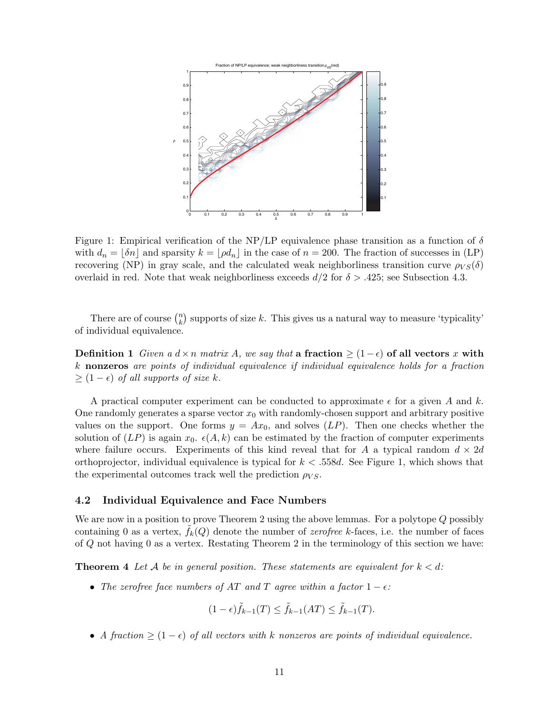

Figure 1: Empirical verification of the NP/LP equivalence phase transition as a function of  $\delta$ with  $d_n = [\delta n]$  and sparsity  $k = [\rho d_n]$  in the case of  $n = 200$ . The fraction of successes in (LP) recovering (NP) in gray scale, and the calculated weak neighborliness transition curve  $\rho_{VS}(\delta)$ overlaid in red. Note that weak neighborliness exceeds  $d/2$  for  $\delta > .425$ ; see Subsection 4.3.

There are of course  $\binom{n}{k}$  $k \choose k$  supports of size k. This gives us a natural way to measure 'typicality' of individual equivalence.

Definition 1 Given a  $d \times n$  matrix A, we say that a fraction  $\geq (1-\epsilon)$  of all vectors x with k nonzeros are points of individual equivalence if individual equivalence holds for a fraction  $\geq (1 - \epsilon)$  of all supports of size k.

A practical computer experiment can be conducted to approximate  $\epsilon$  for a given A and k. One randomly generates a sparse vector  $x_0$  with randomly-chosen support and arbitrary positive values on the support. One forms  $y = Ax_0$ , and solves  $(LP)$ . Then one checks whether the solution of  $(LP)$  is again  $x_0$ .  $\epsilon(A, k)$  can be estimated by the fraction of computer experiments where failure occurs. Experiments of this kind reveal that for A a typical random  $d \times 2d$ orthoprojector, individual equivalence is typical for  $k < .558d$ . See Figure 1, which shows that the experimental outcomes track well the prediction  $\rho_{VS}$ .

## 4.2 Individual Equivalence and Face Numbers

We are now in a position to prove Theorem 2 using the above lemmas. For a polytope Q possibly containing 0 as a vertex,  $f_k(Q)$  denote the number of *zerofree* k-faces, i.e. the number of faces of Q not having 0 as a vertex. Restating Theorem 2 in the terminology of this section we have:

**Theorem 4** Let A be in general position. These statements are equivalent for  $k < d$ :

• The zerofree face numbers of AT and T agree within a factor  $1 - \epsilon$ :

$$
(1 - \epsilon)\tilde{f}_{k-1}(T) \le \tilde{f}_{k-1}(AT) \le \tilde{f}_{k-1}(T).
$$

• A fraction  $\geq (1 - \epsilon)$  of all vectors with k nonzeros are points of individual equivalence.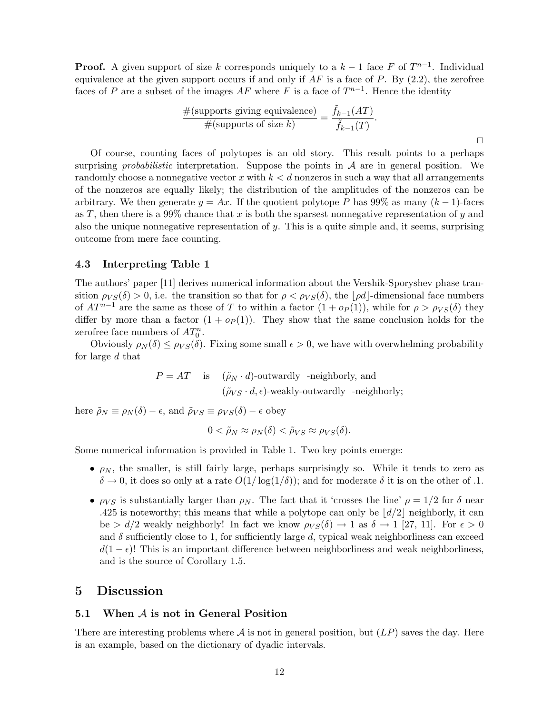**Proof.** A given support of size k corresponds uniquely to a  $k-1$  face F of  $T^{n-1}$ . Individual equivalence at the given support occurs if and only if  $AF$  is a face of  $P$ . By  $(2.2)$ , the zerofree faces of P are a subset of the images  $AF$  where F is a face of  $T^{n-1}$ . Hence the identity

$$
\frac{\#(\text{supports giving equivalence})}{\#(\text{supports of size } k)} = \frac{\tilde{f}_{k-1}(AT)}{\tilde{f}_{k-1}(T)}.
$$

Of course, counting faces of polytopes is an old story. This result points to a perhaps surprising *probabilistic* interpretation. Suppose the points in  $A$  are in general position. We randomly choose a nonnegative vector x with  $k < d$  nonzeros in such a way that all arrangements of the nonzeros are equally likely; the distribution of the amplitudes of the nonzeros can be arbitrary. We then generate  $y = Ax$ . If the quotient polytope P has 99% as many  $(k-1)$ -faces as T, then there is a 99% chance that x is both the sparsest nonnegative representation of y and also the unique nonnegative representation of  $y$ . This is a quite simple and, it seems, surprising outcome from mere face counting.

#### 4.3 Interpreting Table 1

The authors' paper [11] derives numerical information about the Vershik-Sporyshev phase transition  $\rho_{VS}(\delta) > 0$ , i.e. the transition so that for  $\rho < \rho_{VS}(\delta)$ , the  $|\rho d|$ -dimensional face numbers of  $AT^{n-1}$  are the same as those of T to within a factor  $(1 + o_P(1))$ , while for  $\rho > \rho_{VS}(\delta)$  they differ by more than a factor  $(1 + op(1))$ . They show that the same conclusion holds for the zerofree face numbers of  $AT_0^n$ .

Obviously  $\rho_N(\delta) \leq \rho_{VS}(\delta)$ . Fixing some small  $\epsilon > 0$ , we have with overwhelming probability for large d that

$$
P = AT \t\t is \t\t (\tilde{\rho}_N \cdot d)-outwardly -neighborly, and\t\t\t (\tilde{\rho}_{VS} \cdot d, \epsilon)-weakly-outwardly -neighborly;
$$

here  $\tilde{\rho}_N \equiv \rho_N(\delta) - \epsilon$ , and  $\tilde{\rho}_{VS} \equiv \rho_{VS}(\delta) - \epsilon$  obey

$$
0 < \tilde{\rho}_N \approx \rho_N(\delta) < \tilde{\rho}_{VS} \approx \rho_{VS}(\delta).
$$

Some numerical information is provided in Table 1. Two key points emerge:

- $\rho_N$ , the smaller, is still fairly large, perhaps surprisingly so. While it tends to zero as  $\delta \to 0$ , it does so only at a rate  $O(1/\log(1/\delta))$ ; and for moderate  $\delta$  it is on the other of .1.
- $\rho_{VS}$  is substantially larger than  $\rho_N$ . The fact that it 'crosses the line'  $\rho = 1/2$  for  $\delta$  near .425 is noteworthy; this means that while a polytope can only be  $\lfloor d/2 \rfloor$  neighborly, it can be  $> d/2$  weakly neighborly! In fact we know  $\rho_{VS}(\delta) \rightarrow 1$  as  $\delta \rightarrow 1$  [27, 11]. For  $\epsilon > 0$ and  $\delta$  sufficiently close to 1, for sufficiently large d, typical weak neighborliness can exceed  $d(1 - \epsilon)!$  This is an important difference between neighborliness and weak neighborliness, and is the source of Corollary 1.5.

## 5 Discussion

#### 5.1 When A is not in General Position

There are interesting problems where  $A$  is not in general position, but  $(LP)$  saves the day. Here is an example, based on the dictionary of dyadic intervals.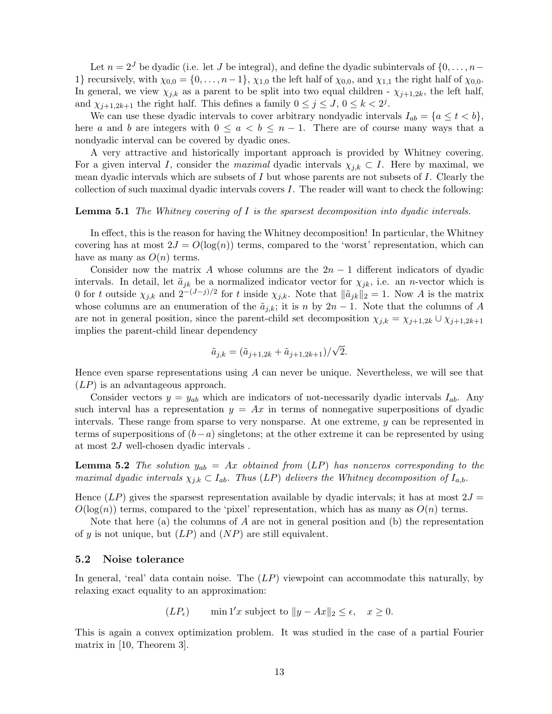Let  $n = 2<sup>J</sup>$  be dyadic (i.e. let J be integral), and define the dyadic subintervals of  $\{0, \ldots, n-1\}$ 1} recursively, with  $\chi_{0,0} = \{0,\ldots,n-1\}$ ,  $\chi_{1,0}$  the left half of  $\chi_{0,0}$ , and  $\chi_{1,1}$  the right half of  $\chi_{0,0}$ . In general, we view  $\chi_{j,k}$  as a parent to be split into two equal children -  $\chi_{j+1,2k}$ , the left half, and  $\chi_{j+1,2k+1}$  the right half. This defines a family  $0 \leq j \leq J, 0 \leq k < 2^j$ .

We can use these dyadic intervals to cover arbitrary nondyadic intervals  $I_{ab} = \{a \le t < b\},\$ here a and b are integers with  $0 \le a < b \le n-1$ . There are of course many ways that a nondyadic interval can be covered by dyadic ones.

A very attractive and historically important approach is provided by Whitney covering. For a given interval I, consider the maximal dyadic intervals  $\chi_{i,k} \subset I$ . Here by maximal, we mean dyadic intervals which are subsets of  $I$  but whose parents are not subsets of  $I$ . Clearly the collection of such maximal dyadic intervals covers I. The reader will want to check the following:

#### **Lemma 5.1** The Whitney covering of I is the sparsest decomposition into dyadic intervals.

In effect, this is the reason for having the Whitney decomposition! In particular, the Whitney covering has at most  $2J = O(\log(n))$  terms, compared to the 'worst' representation, which can have as many as  $O(n)$  terms.

Consider now the matrix A whose columns are the  $2n-1$  different indicators of dyadic intervals. In detail, let  $\tilde{a}_{jk}$  be a normalized indicator vector for  $\chi_{jk}$ , i.e. an *n*-vector which is 0 for t outside  $\chi_{j,k}$  and  $2^{-(J-j)/2}$  for t inside  $\chi_{j,k}$ . Note that  $\|\tilde{a}_{jk}\|_2 = 1$ . Now A is the matrix whose columns are an enumeration of the  $\tilde{a}_{j,k}$ ; it is n by 2n – 1. Note that the columns of A are not in general position, since the parent-child set decomposition  $\chi_{j,k} = \chi_{j+1,2k} \cup \chi_{j+1,2k+1}$ implies the parent-child linear dependency

$$
\tilde{a}_{j,k} = (\tilde{a}_{j+1,2k} + \tilde{a}_{j+1,2k+1})/\sqrt{2}.
$$

Hence even sparse representations using  $A$  can never be unique. Nevertheless, we will see that  $(LP)$  is an advantageous approach.

Consider vectors  $y = y_{ab}$  which are indicators of not-necessarily dyadic intervals  $I_{ab}$ . Any such interval has a representation  $y = Ax$  in terms of nonnegative superpositions of dyadic intervals. These range from sparse to very nonsparse. At one extreme, y can be represented in terms of superpositions of  $(b-a)$  singletons; at the other extreme it can be represented by using at most 2J well-chosen dyadic intervals .

**Lemma 5.2** The solution  $y_{ab} = Ax$  obtained from (LP) has nonzeros corresponding to the maximal dyadic intervals  $\chi_{j,k} \subset I_{ab}$ . Thus  $(LP)$  delivers the Whitney decomposition of  $I_{a,b}$ .

Hence  $(LP)$  gives the sparsest representation available by dyadic intervals; it has at most  $2J =$  $O(\log(n))$  terms, compared to the 'pixel' representation, which has as many as  $O(n)$  terms.

Note that here (a) the columns of  $A$  are not in general position and (b) the representation of y is not unique, but  $(LP)$  and  $(NP)$  are still equivalent.

#### 5.2 Noise tolerance

In general, 'real' data contain noise. The  $(LP)$  viewpoint can accommodate this naturally, by relaxing exact equality to an approximation:

 $(LP_{\epsilon})$  min 1'x subject to  $||y - Ax||_2 \leq \epsilon$ ,  $x \geq 0$ .

This is again a convex optimization problem. It was studied in the case of a partial Fourier matrix in [10, Theorem 3].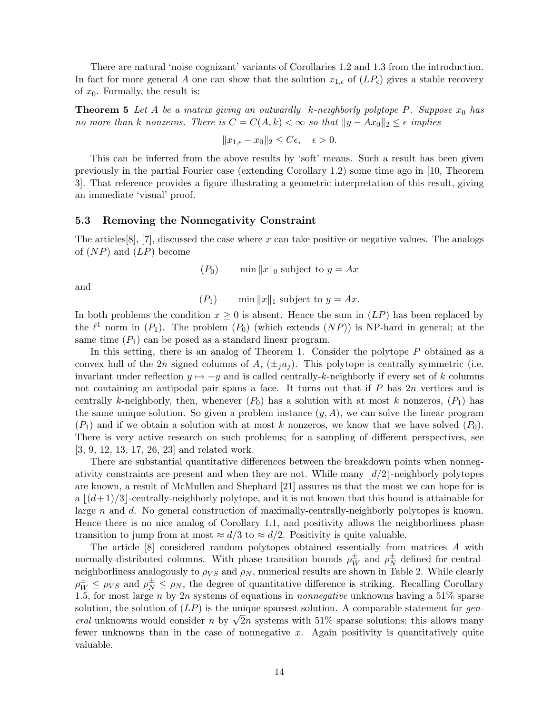There are natural 'noise cognizant' variants of Corollaries 1.2 and 1.3 from the introduction. In fact for more general A one can show that the solution  $x_{1,\epsilon}$  of  $(LP_{\epsilon})$  gives a stable recovery of  $x_0$ . Formally, the result is:

**Theorem 5** Let A be a matrix giving an outwardly k-neighborly polytope P. Suppose  $x_0$  has no more than k nonzeros. There is  $C = C(A, k) < \infty$  so that  $||y - Ax_0||_2 \le \epsilon$  implies

$$
||x_{1,\epsilon} - x_0||_2 \le C\epsilon, \quad \epsilon > 0.
$$

This can be inferred from the above results by 'soft' means. Such a result has been given previously in the partial Fourier case (extending Corollary 1.2) some time ago in [10, Theorem 3]. That reference provides a figure illustrating a geometric interpretation of this result, giving an immediate 'visual' proof.

### 5.3 Removing the Nonnegativity Constraint

The articles  $[8]$ ,  $[7]$ , discussed the case where x can take positive or negative values. The analogs of  $(NP)$  and  $(LP)$  become

$$
(P_0) \qquad \min \|x\|_0 \text{ subject to } y = Ax
$$

and

 $(P_1)$  min  $||x||_1$  subject to  $y = Ax$ .

In both problems the condition  $x \geq 0$  is absent. Hence the sum in  $(LP)$  has been replaced by the  $\ell^1$  norm in  $(P_1)$ . The problem  $(P_0)$  (which extends  $(NP)$ ) is NP-hard in general; at the same time  $(P_1)$  can be posed as a standard linear program.

In this setting, there is an analog of Theorem 1. Consider the polytope P obtained as a convex hull of the 2n signed columns of A,  $(\pm_i a_i)$ . This polytope is centrally symmetric (i.e. invariant under reflection  $y \mapsto -y$  and is called centrally-k-neighborly if every set of k columns not containing an antipodal pair spans a face. It turns out that if P has 2n vertices and is centrally k-neighborly, then, whenever  $(P_0)$  has a solution with at most k nonzeros,  $(P_1)$  has the same unique solution. So given a problem instance  $(y, A)$ , we can solve the linear program  $(P_1)$  and if we obtain a solution with at most k nonzeros, we know that we have solved  $(P_0)$ . There is very active research on such problems; for a sampling of different perspectives, see [3, 9, 12, 13, 17, 26, 23] and related work.

There are substantial quantitative differences between the breakdown points when nonnegativity constraints are present and when they are not. While many  $\lfloor d/2 \rfloor$ -neighborly polytopes are known, a result of McMullen and Shephard [21] assures us that the most we can hope for is  $a \mid (d+1)/3$ -centrally-neighborly polytope, and it is not known that this bound is attainable for large n and d. No general construction of maximally-centrally-neighborly polytopes is known. Hence there is no nice analog of Corollary 1.1, and positivity allows the neighborliness phase transition to jump from at most  $\approx d/3$  to  $\approx d/2$ . Positivity is quite valuable.

The article [8] considered random polytopes obtained essentially from matrices A with normally-distributed columns. With phase transition bounds  $\rho_W^{\pm}$  and  $\rho_N^{\pm}$  $\frac{1}{N}$  defined for centralneighborliness analogously to  $\rho_{VS}$  and  $\rho_N$ , numerical results are shown in Table 2. While clearly  $\rho_W^{\pm} \le \rho_{VS}$  and  $\rho_N^{\pm} \le \rho_N$ , the degree of quantitative difference is striking. Recalling Corollary 1.5, for most large n by 2n systems of equations in *nonnegative* unknowns having a  $51\%$  sparse solution, the solution of  $(LP)$  is the unique sparsest solution. A comparable statement for gensolution, the solution of  $(LP)$  is the unique sparsest solution. A comparable statement for *general* unknowns would consider n by  $\sqrt{2}n$  systems with 51% sparse solutions; this allows many fewer unknowns than in the case of nonnegative x. Again positivity is quantitatively quite valuable.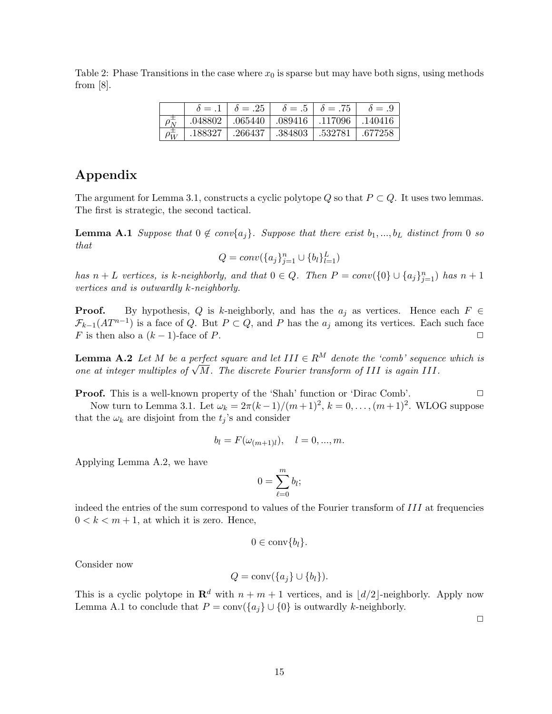Table 2: Phase Transitions in the case where  $x_0$  is sparse but may have both signs, using methods from  $[8]$ .

|            | $\delta = .1$ | $\delta = .25$ |         | $\delta = .5$   $\delta = .75$ | $\delta = .9$ |
|------------|---------------|----------------|---------|--------------------------------|---------------|
|            | .048802       | $\mid .065440$ | .089416 | .117096                        | .140416       |
| $\rho_W^-$ | .188327       | .266437        | .384803 | .532781                        | .677258       |

## Appendix

The argument for Lemma 3.1, constructs a cyclic polytope Q so that  $P \subset Q$ . It uses two lemmas. The first is strategic, the second tactical.

**Lemma A.1** Suppose that  $0 \notin conv\{a_j\}$ . Suppose that there exist  $b_1, ..., b_L$  distinct from 0 so that

$$
Q = conv(\{a_j\}_{j=1}^n \cup \{b_l\}_{l=1}^L)
$$

has  $n + L$  vertices, is k-neighborly, and that  $0 \in Q$ . Then  $P = conv({0} \cup {a_j}_{j=1}^n)$  has  $n + 1$ vertices and is outwardly k-neighborly.

**Proof.** By hypothesis, Q is k-neighborly, and has the  $a_j$  as vertices. Hence each  $F \in$  $\mathcal{F}_{k-1}(AT^{n-1})$  is a face of Q. But  $P \subset Q$ , and P has the  $a_j$  among its vertices. Each such face F is then also a  $(k-1)$ -face of P.

**Lemma A.2** Let M be a perfect square and let  $III \in R^M$  denote the 'comb' sequence which is **Lemma A.2** Let M be a perfect square and let  $III \in K^{\alpha}$  denote the compresequence one at integer multiples of  $\sqrt{M}$ . The discrete Fourier transform of III is again III.

**Proof.** This is a well-known property of the 'Shah' function or 'Dirac Comb'.  $\Box$ 

Now turn to Lemma 3.1. Let  $\omega_k = 2\pi (k-1)/(m+1)^2$ ,  $k = 0, ..., (m+1)^2$ . WLOG suppose that the  $\omega_k$  are disjoint from the  $t_j$ 's and consider

$$
b_l = F(\omega_{(m+1)l}), \quad l = 0, ..., m.
$$

Applying Lemma A.2, we have

$$
0 = \sum_{\ell=0}^m b_l;
$$

indeed the entries of the sum correspond to values of the Fourier transform of III at frequencies  $0 < k < m + 1$ , at which it is zero. Hence,

$$
0\in \operatorname{conv}\{b_l\}.
$$

Consider now

$$
Q = \text{conv}(\{a_j\} \cup \{b_l\}).
$$

This is a cyclic polytope in  $\mathbb{R}^d$  with  $n + m + 1$  vertices, and is  $\lfloor d/2 \rfloor$ -neighborly. Apply now Lemma A.1 to conclude that  $P = \text{conv}(\{a_i\} \cup \{0\})$  is outwardly k-neighborly.

 $\Box$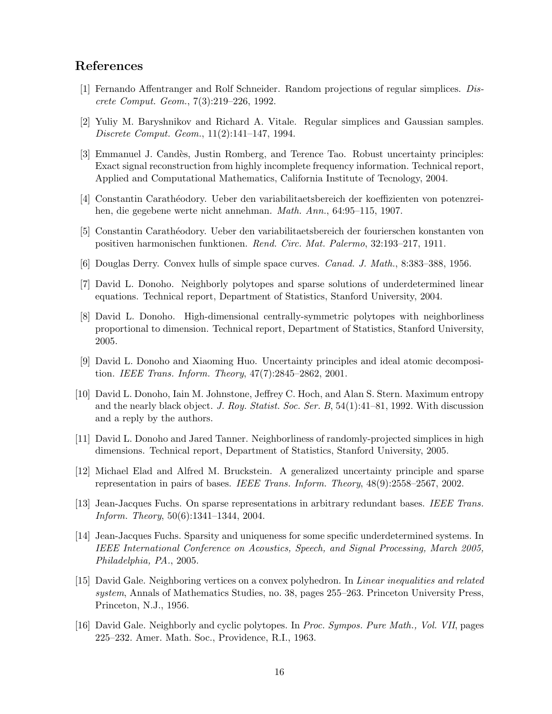## References

- [1] Fernando Affentranger and Rolf Schneider. Random projections of regular simplices. Discrete Comput. Geom., 7(3):219–226, 1992.
- [2] Yuliy M. Baryshnikov and Richard A. Vitale. Regular simplices and Gaussian samples. Discrete Comput. Geom., 11(2):141–147, 1994.
- [3] Emmanuel J. Candès, Justin Romberg, and Terence Tao. Robust uncertainty principles: Exact signal reconstruction from highly incomplete frequency information. Technical report, Applied and Computational Mathematics, California Institute of Tecnology, 2004.
- [4] Constantin Carath´eodory. Ueber den variabilitaetsbereich der koeffizienten von potenzreihen, die gegebene werte nicht annehman. Math. Ann., 64:95–115, 1907.
- [5] Constantin Carath´eodory. Ueber den variabilitaetsbereich der fourierschen konstanten von positiven harmonischen funktionen. Rend. Circ. Mat. Palermo, 32:193–217, 1911.
- [6] Douglas Derry. Convex hulls of simple space curves. Canad. J. Math., 8:383–388, 1956.
- [7] David L. Donoho. Neighborly polytopes and sparse solutions of underdetermined linear equations. Technical report, Department of Statistics, Stanford University, 2004.
- [8] David L. Donoho. High-dimensional centrally-symmetric polytopes with neighborliness proportional to dimension. Technical report, Department of Statistics, Stanford University, 2005.
- [9] David L. Donoho and Xiaoming Huo. Uncertainty principles and ideal atomic decomposition. IEEE Trans. Inform. Theory, 47(7):2845–2862, 2001.
- [10] David L. Donoho, Iain M. Johnstone, Jeffrey C. Hoch, and Alan S. Stern. Maximum entropy and the nearly black object. J. Roy. Statist. Soc. Ser. B,  $54(1):41-81$ , 1992. With discussion and a reply by the authors.
- [11] David L. Donoho and Jared Tanner. Neighborliness of randomly-projected simplices in high dimensions. Technical report, Department of Statistics, Stanford University, 2005.
- [12] Michael Elad and Alfred M. Bruckstein. A generalized uncertainty principle and sparse representation in pairs of bases. IEEE Trans. Inform. Theory, 48(9):2558–2567, 2002.
- [13] Jean-Jacques Fuchs. On sparse representations in arbitrary redundant bases. IEEE Trans. Inform. Theory, 50(6):1341–1344, 2004.
- [14] Jean-Jacques Fuchs. Sparsity and uniqueness for some specific underdetermined systems. In IEEE International Conference on Acoustics, Speech, and Signal Processing, March 2005, Philadelphia, PA., 2005.
- [15] David Gale. Neighboring vertices on a convex polyhedron. In Linear inequalities and related system, Annals of Mathematics Studies, no. 38, pages 255–263. Princeton University Press, Princeton, N.J., 1956.
- [16] David Gale. Neighborly and cyclic polytopes. In Proc. Sympos. Pure Math., Vol. VII, pages 225–232. Amer. Math. Soc., Providence, R.I., 1963.